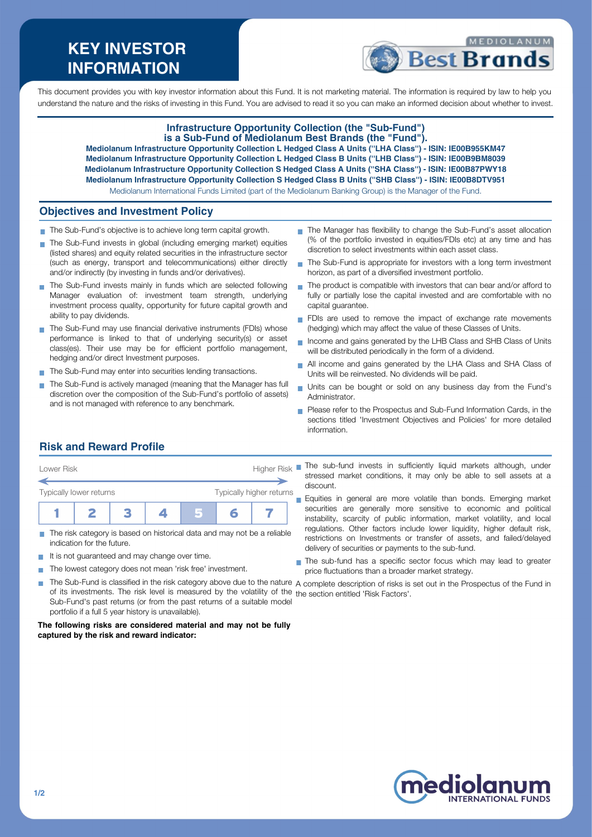# **KEY INVESTOR INFORMATION**



This document provides you with key investor information about this Fund. It is not marketing material. The information is required by law to help you understand the nature and the risks of investing in this Fund. You are advised to read it so you can make an informed decision about whether to invest.

### **Infrastructure Opportunity Collection (the "Sub-Fund") is a Sub-Fund of Mediolanum Best Brands (the "Fund").**

**Mediolanum Infrastructure Opportunity Collection L Hedged Class A Units (''LHA Class'') - ISIN: IE00B955KM47 Mediolanum Infrastructure Opportunity Collection L Hedged Class B Units (''LHB Class'') - ISIN: IE00B9BM8039 Mediolanum Infrastructure Opportunity Collection S Hedged Class A Units (''SHA Class'') - ISIN: IE00B87PWY18 Mediolanum Infrastructure Opportunity Collection S Hedged Class B Units (''SHB Class'') - ISIN: IE00B8DTV951**

Mediolanum International Funds Limited (part of the Mediolanum Banking Group) is the Manager of the Fund.

# **Objectives and Investment Policy**

- The Sub-Fund's objective is to achieve long term capital growth.
- The Sub-Fund invests in global (including emerging market) equities (listed shares) and equity related securities in the infrastructure sector (such as energy, transport and telecommunications) either directly and/or indirectly (by investing in funds and/or derivatives).
- The Sub-Fund invests mainly in funds which are selected following Manager evaluation of: investment team strength, underlying investment process quality, opportunity for future capital growth and ability to pay dividends.
- The Sub-Fund may use financial derivative instruments (FDIs) whose performance is linked to that of underlying security(s) or asset class(es). Their use may be for efficient portfolio management, hedging and/or direct Investment purposes.
- The Sub-Fund may enter into securities lending transactions.
- The Sub-Fund is actively managed (meaning that the Manager has full discretion over the composition of the Sub-Fund's portfolio of assets) and is not managed with reference to any benchmark.
- The Manager has flexibility to change the Sub-Fund's asset allocation (% of the portfolio invested in equities/FDIs etc) at any time and has discretion to select investments within each asset class.
- The Sub-Fund is appropriate for investors with a long term investment m. horizon, as part of a diversified investment portfolio.
- The product is compatible with investors that can bear and/or afford to  $\mathbf{r}$ fully or partially lose the capital invested and are comfortable with no capital guarantee.
- FDIs are used to remove the impact of exchange rate movements (hedging) which may affect the value of these Classes of Units.
- Income and gains generated by the LHB Class and SHB Class of Units will be distributed periodically in the form of a dividend.
- All income and gains generated by the LHA Class and SHA Class of Units will be reinvested. No dividends will be paid.
- Units can be bought or sold on any business day from the Fund's Administrator.
- Please refer to the Prospectus and Sub-Fund Information Cards, in the sections titled 'Investment Objectives and Policies' for more detailed information.

# **Risk and Reward Profile**



- The risk category is based on historical data and may not be a reliable m. indication for the future.
- It is not guaranteed and may change over time.  $\sim$
- The lowest category does not mean 'risk free' investment. **T**
- of its investments. The risk level is measured by the volatility of the the section entitled 'Risk Factors'.Sub-Fund's past returns (or from the past returns of a suitable model portfolio if a full 5 year history is unavailable).

#### **The following risks are considered material and may not be fully captured by the risk and reward indicator:**

stressed market conditions, it may only be able to sell assets at a discount.

Equities in general are more volatile than bonds. Emerging market securities are generally more sensitive to economic and political instability, scarcity of public information, market volatility, and local regulations. Other factors include lower liquidity, higher default risk, restrictions on Investments or transfer of assets, and failed/delayed delivery of securities or payments to the sub-fund.

The sub-fund has a specific sector focus which may lead to greater price fluctuations than a broader market strategy.

The Sub-Fund is classified in the risk category above due to the nature  $\,$  complete description of risks is set out in the Prospectus of the Fund in